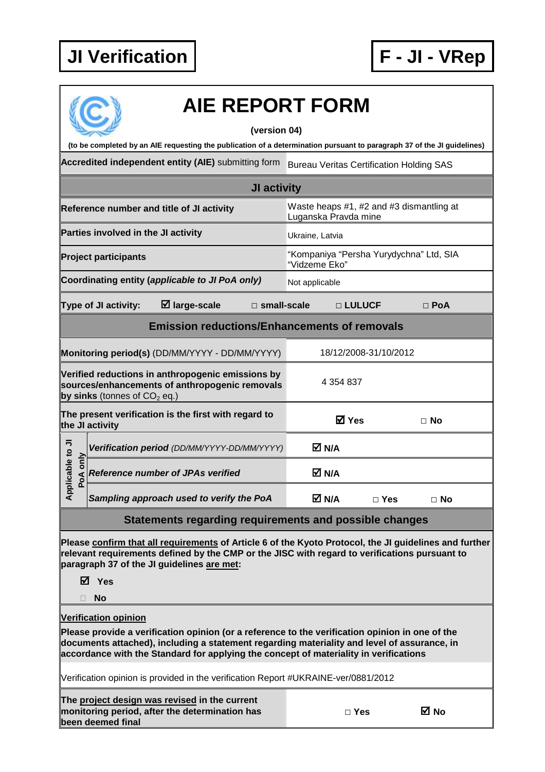

| <b>AIE REPORT FORM</b>                                                                                                                                                                                                                                                                                                 |             |                                     |                                                                                                                                                                                                                                                       |                                                 |                        |                                                                  |            |           |  |  |
|------------------------------------------------------------------------------------------------------------------------------------------------------------------------------------------------------------------------------------------------------------------------------------------------------------------------|-------------|-------------------------------------|-------------------------------------------------------------------------------------------------------------------------------------------------------------------------------------------------------------------------------------------------------|-------------------------------------------------|------------------------|------------------------------------------------------------------|------------|-----------|--|--|
| (version 04)                                                                                                                                                                                                                                                                                                           |             |                                     |                                                                                                                                                                                                                                                       |                                                 |                        |                                                                  |            |           |  |  |
| (to be completed by an AIE requesting the publication of a determination pursuant to paragraph 37 of the JI guidelines)                                                                                                                                                                                                |             |                                     |                                                                                                                                                                                                                                                       |                                                 |                        |                                                                  |            |           |  |  |
|                                                                                                                                                                                                                                                                                                                        |             |                                     | Accredited independent entity (AIE) submitting form                                                                                                                                                                                                   | <b>Bureau Veritas Certification Holding SAS</b> |                        |                                                                  |            |           |  |  |
| JI activity                                                                                                                                                                                                                                                                                                            |             |                                     |                                                                                                                                                                                                                                                       |                                                 |                        |                                                                  |            |           |  |  |
| Reference number and title of JI activity                                                                                                                                                                                                                                                                              |             |                                     |                                                                                                                                                                                                                                                       |                                                 |                        | Waste heaps #1, #2 and #3 dismantling at<br>Luganska Pravda mine |            |           |  |  |
|                                                                                                                                                                                                                                                                                                                        |             | Parties involved in the JI activity |                                                                                                                                                                                                                                                       | Ukraine, Latvia                                 |                        |                                                                  |            |           |  |  |
| <b>Project participants</b>                                                                                                                                                                                                                                                                                            |             |                                     |                                                                                                                                                                                                                                                       |                                                 |                        | "Kompaniya "Persha Yurydychna" Ltd, SIA<br>"Vidzeme Eko"         |            |           |  |  |
|                                                                                                                                                                                                                                                                                                                        |             |                                     | Coordinating entity (applicable to JI PoA only)                                                                                                                                                                                                       |                                                 | Not applicable         |                                                                  |            |           |  |  |
|                                                                                                                                                                                                                                                                                                                        |             | Type of JI activity:                | $\boxtimes$ large-scale                                                                                                                                                                                                                               | $\square$ small-scale                           | □ LULUCF<br>$\Box$ PoA |                                                                  |            |           |  |  |
| <b>Emission reductions/Enhancements of removals</b>                                                                                                                                                                                                                                                                    |             |                                     |                                                                                                                                                                                                                                                       |                                                 |                        |                                                                  |            |           |  |  |
|                                                                                                                                                                                                                                                                                                                        |             |                                     | Monitoring period(s) (DD/MM/YYYY - DD/MM/YYYY)                                                                                                                                                                                                        |                                                 | 18/12/2008-31/10/2012  |                                                                  |            |           |  |  |
|                                                                                                                                                                                                                                                                                                                        |             | by sinks (tonnes of $CO2$ eq.)      | Verified reductions in anthropogenic emissions by<br>sources/enhancements of anthropogenic removals                                                                                                                                                   | 4 354 837                                       |                        |                                                                  |            |           |  |  |
| The present verification is the first with regard to<br>the JI activity                                                                                                                                                                                                                                                |             |                                     |                                                                                                                                                                                                                                                       |                                                 |                        | <b>ØYes</b><br>⊟ No                                              |            |           |  |  |
|                                                                                                                                                                                                                                                                                                                        |             |                                     | Verification period (DD/MM/YYYY-DD/MM/YYYY)                                                                                                                                                                                                           |                                                 |                        | M N/A                                                            |            |           |  |  |
| plicable to JI                                                                                                                                                                                                                                                                                                         | only<br>PoA |                                     | <b>Reference number of JPAs verified</b>                                                                                                                                                                                                              |                                                 |                        | M N/A                                                            |            |           |  |  |
| ਵੈ                                                                                                                                                                                                                                                                                                                     |             |                                     | Sampling approach used to verify the PoA                                                                                                                                                                                                              |                                                 |                        | M N/A                                                            | $\Box$ Yes | $\Box$ No |  |  |
|                                                                                                                                                                                                                                                                                                                        |             |                                     | <b>Statements regarding requirements and possible changes</b>                                                                                                                                                                                         |                                                 |                        |                                                                  |            |           |  |  |
|                                                                                                                                                                                                                                                                                                                        |             | M Yes                               | Please confirm that all requirements of Article 6 of the Kyoto Protocol, the JI guidelines and further<br>relevant requirements defined by the CMP or the JISC with regard to verifications pursuant to<br>paragraph 37 of the JI guidelines are met: |                                                 |                        |                                                                  |            |           |  |  |
| <b>No</b>                                                                                                                                                                                                                                                                                                              |             |                                     |                                                                                                                                                                                                                                                       |                                                 |                        |                                                                  |            |           |  |  |
| <b>Verification opinion</b><br>Please provide a verification opinion (or a reference to the verification opinion in one of the<br>documents attached), including a statement regarding materiality and level of assurance, in<br>accordance with the Standard for applying the concept of materiality in verifications |             |                                     |                                                                                                                                                                                                                                                       |                                                 |                        |                                                                  |            |           |  |  |
| Verification opinion is provided in the verification Report #UKRAINE-ver/0881/2012                                                                                                                                                                                                                                     |             |                                     |                                                                                                                                                                                                                                                       |                                                 |                        |                                                                  |            |           |  |  |
|                                                                                                                                                                                                                                                                                                                        |             |                                     | The project design was revised in the current                                                                                                                                                                                                         |                                                 |                        |                                                                  |            |           |  |  |

**monitoring period, after the determination has been deemed final** 

| $\Box$ Yes | M No |
|------------|------|
|------------|------|